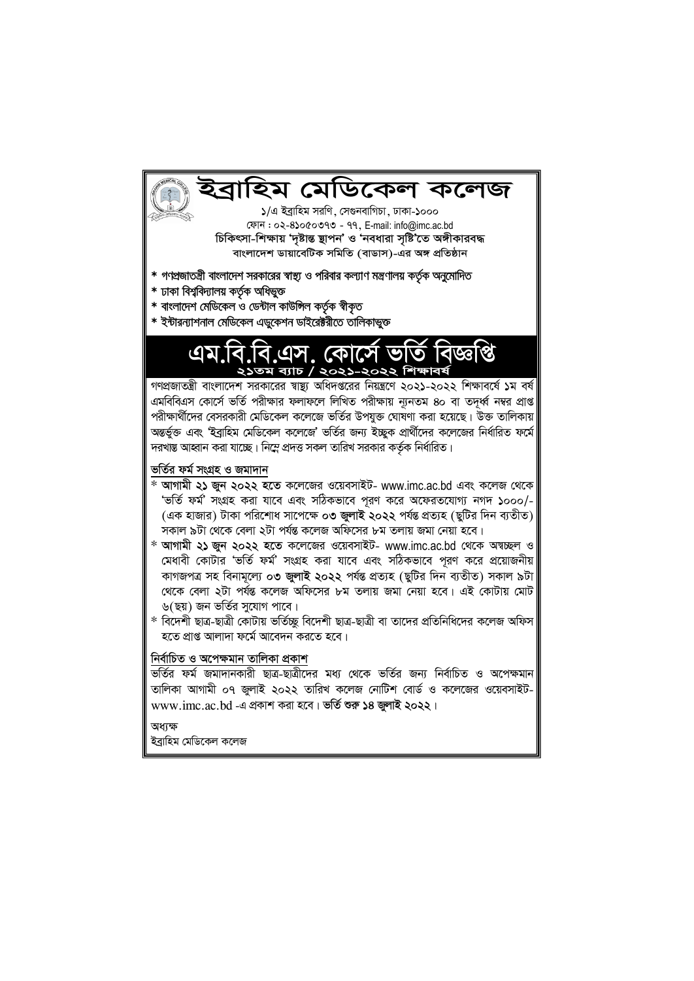### ইবাহিম মেডিকেল কলেজ

১/এ ইব্রাহিম সরণি, সেগুনবাগিচা, ঢাকা-১০০০ ফোন: ০২-8১০৫০৩৭৩ - ৭৭, E-mail: info@imc.ac.bd চিকিৎসা-শিক্ষায় 'দৃষ্টান্ত ছাপন' ও 'নবধারা সৃষ্টি'তে অঙ্গীকারবদ্ধ বাংলাদেশ ডায়াবেটিক সমিতি (বাডাস)-এর অঙ্গ প্রতিষ্ঠান

- \* গণপ্রজাতন্ত্রী বাংলাদেশ সরকারের স্বাস্থ্য ও পরিবার কল্যাণ মন্ত্রণালয় কর্তৃক অনুমোদিত
- \* ঢাকা বিশ্ববিদ্যালয় কৰ্তৃক অধিভুক্ত
- \* বাংলাদেশ মেডিকেল ও ডেন্টাল কাউন্সিল কর্তৃক স্বীকৃত
- \* ইন্টারন্যাশনাল মেডিকেল এডুকেশন ডাইরেক্টরীতে তালিকাভুক্ত

এম.বি.বি.এস. কোর্সে ভাত বিজ্ঞাপ্ত ২১তম ব্যাচ / ২০২১-২০২২ শিক্ষাবর্ষ

গণপ্রজাতন্ত্রী বাংলাদেশ সরকারের স্বাস্থ্য অধিদপ্তরের নিয়ন্ত্রণে ২০২১-২০২২ শিক্ষাবর্ষে ১ম বর্ষ এমবিবিএস কোর্সে ভর্তি পরীক্ষার ফলাফলে লিখিত পরীক্ষায় ন্যূনতম ৪০ বা তদর্ধ্ব নম্বর প্রাপ্ত পরীক্ষার্থীদের বেসরকারী মেডিকেল কলেজে ভর্তির উপযুক্ত ঘোষণা করা হয়েছে। উক্ত তালিকায় অন্তর্ভুক্ত এবং 'ইব্রাহিম মেডিকেল কলেজে' ভর্তির জন্য ইচ্ছুক প্রার্থীদের কলেজের নির্ধারিত ফর্মে দরখাস্ত আহ্বান করা যাচ্ছে। নিম্নে প্রদত্ত সকল তারিখ সরকার কর্তৃক নির্ধারিত।

ভৰ্তির ফর্ম সংগ্ৰহ ও জমাদান

- \* আগামী ২১ জুন ২০২২ হতে কলেজের ওয়েবসাইট- www.imc.ac.bd এবং কলেজ থেকে 'ভর্তি ফর্ম' সংগ্রহ করা যাবে এবং সঠিকভাবে পূরণ করে অফেরতযোগ্য নগদ ১০০০/-(এক হাজার) টাকা পরিশোধ সাপেক্ষে ০৩ জুলাই ২০২২ পর্যন্ত প্রত্যহ (ছুটির দিন ব্যতীত) সকাল ৯টা থেকে বেলা ২টা পর্যন্ত কলেজ অফিসের ৮ম তলায় জমা নেয়া হবে।
- \* আগামী ২১ জুন ২০২২ হতে কলেজের ওয়েবসাইট- www.imc.ac.bd থেকে অম্বচ্ছল ও মেধাবী কোটার 'ভর্তি ফর্ম' সংগ্রহ করা যাবে এবং সঠিকভাবে পরণ করে প্রয়োজনীয় কাগজপত্ৰ সহ বিনামূল্যে ০৩ জুলাই ২০২২ পৰ্যন্ত প্ৰত্যহ (ছুটির দিন ব্যতীত) সকাল ৯টা থেকে বেলা ২টা পৰ্যন্ত কলেজ অফিসের ৮ম তলায় জমা নেয়া হবে। এই কোটায় মোট ৬(ছয়) জন ভর্তির সুযোগ পাবে।
- \* বিদেশী ছাত্র-ছাত্রী কোটায় ভর্তিচ্ছু বিদেশী ছাত্র-ছাত্রী বা তাদের প্রতিনিধিদের কলেজ অফিস হতে প্রাপ্ত আলাদা ফর্মে আবেদন করতে হবে।

#### নিৰ্বাচিত ও অপেক্ষমান তালিকা প্ৰকাশ

ভৰ্তির ফৰ্ম জমাদানকারী ছাত্র-ছাত্রীদের মধ্য থেকে ভৰ্তির জন্য নির্বাচিত ও অপেক্ষমান তালিকা আগামী ০৭ জুলাই ২০২২ তারিখ কলেজ নোটিশ বোর্ড ও কলেজের ওয়েবসাইটwww.imc.ac.bd -এ প্রকাশ করা হবে। ভর্তি শুরু ১৪ জুলাই ২০২২।

অধাক্ষ

ইব্ৰাহিম মেডিকেল কলেজ